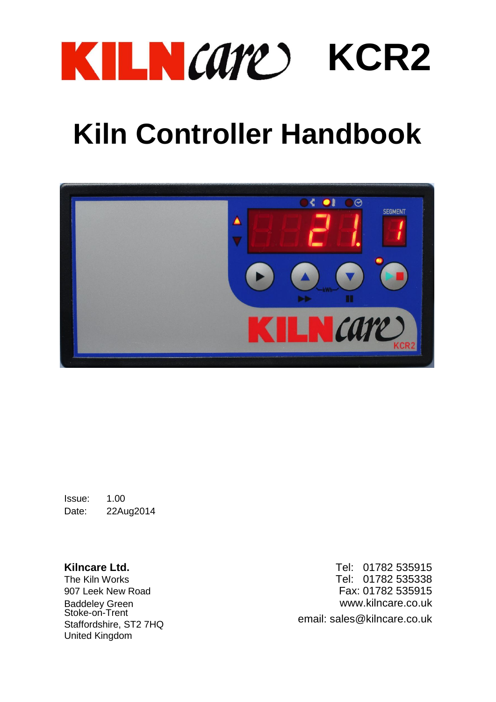

## **Kiln Controller Handbook**



Issue: 1.00 Date: 22Aug2014

Stoke-on-Trent<br>Staffordshire, ST2 7HQ<br>Staffordshire, ST2 7HQ United Kingdom

**Kilncare Ltd.** Tel: 01782 535915<br>The Kiln Works **The Kiln Works** Tel: 01782 535338 907 Leek New Road Fax: 01782 535915<br>Baddeley Green www.kilncare.co.uk<br>Stoke-on-Trent contract the contract of the contract of the Stoke-on-Trent www.kilncare.co.uk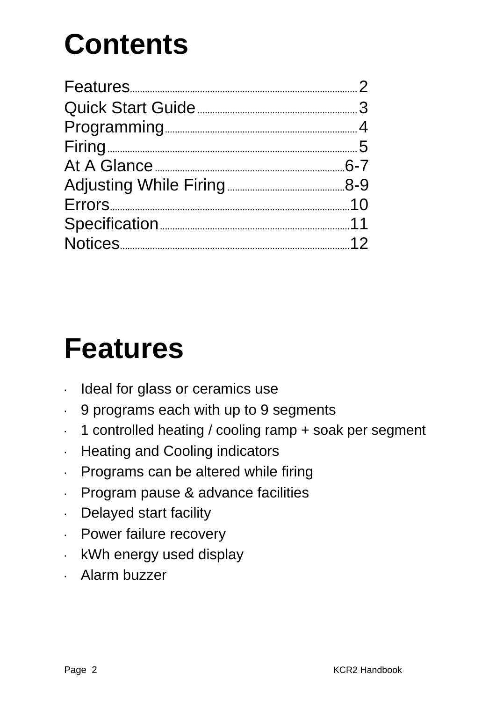# **Contents**

## **Features**

- · Ideal for glass or ceramics use
- · 9 programs each with up to 9 segments
- · 1 controlled heating / cooling ramp + soak per segment
- · Heating and Cooling indicators
- · Programs can be altered while firing
- · Program pause & advance facilities
- · Delayed start facility
- · Power failure recovery
- · kWh energy used display
- · Alarm buzzer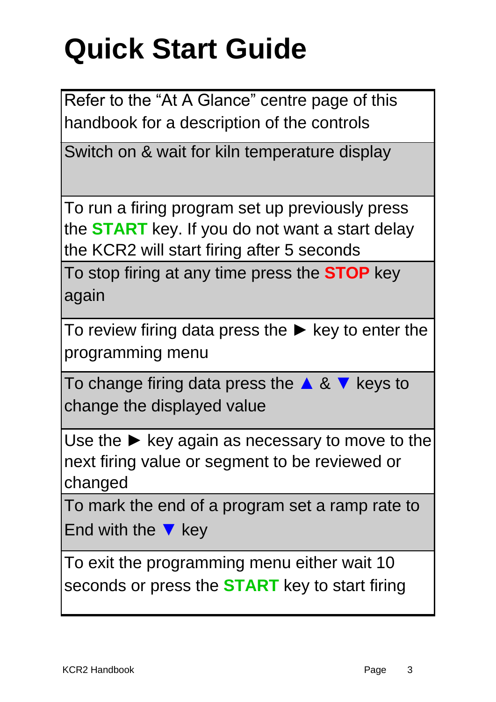# **Quick Start Guide**

Refer to the "At A Glance" centre page of this handbook for a description of the controls

Switch on & wait for kiln temperature display

To run a firing program set up previously press the **START** key. If you do not want a start delay the KCR2 will start firing after 5 seconds

To stop firing at any time press the **STOP** key again

To review firing data press the  $\blacktriangleright$  key to enter the programming menu

To change firing data press the  $\triangle 8$   $\blacktriangledown$  keys to change the displayed value

Use the  $\blacktriangleright$  key again as necessary to move to the next firing value or segment to be reviewed or changed

To mark the end of a program set a ramp rate to End with the  $\blacktriangledown$  key

To exit the programming menu either wait 10 seconds or press the **START** key to start firing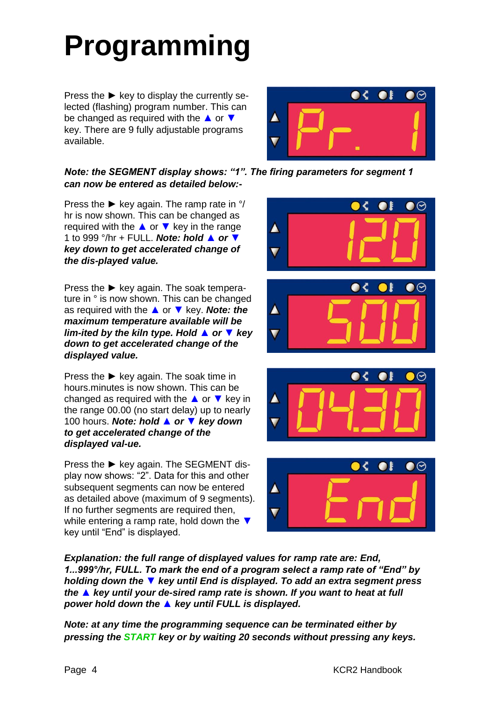# **Programming**

Press the  $\blacktriangleright$  key to display the currently selected (flashing) program number. This can be changed as required with the ▲ or ▼ key. There are 9 fully adjustable programs available.



#### *Note: the SEGMENT display shows: "1". The firing parameters for segment 1 can now be entered as detailed below:-*

Press the  $\blacktriangleright$  key again. The ramp rate in  $\degree/$ hr is now shown. This can be changed as required with the  $\triangle$  or  $\nabla$  key in the range 1 to 999 °/hr + FULL. *Note: hold ▲ or ▼ key down to get accelerated change of the dis-played value.*

Press the ► key again. The soak temperature in ° is now shown. This can be changed as required with the ▲ or ▼ key. *Note: the maximum temperature available will be lim-ited by the kiln type. Hold ▲ or ▼ key down to get accelerated change of the displayed value.*

Press the  $\blacktriangleright$  key again. The soak time in hours.minutes is now shown. This can be changed as required with the  $\triangle$  or  $\nabla$  key in the range 00.00 (no start delay) up to nearly 100 hours. *Note: hold ▲ or ▼ key down to get accelerated change of the displayed val-ue.*

Press the ► key again. The SEGMENT display now shows: "2". Data for this and other subsequent segments can now be entered as detailed above (maximum of 9 segments). If no further segments are required then, while entering a ramp rate, hold down the ▼ key until "End" is displayed.









*Explanation: the full range of displayed values for ramp rate are: End, 1...999°/hr, FULL. To mark the end of a program select a ramp rate of "End" by holding down the ▼ key until End is displayed. To add an extra segment press the ▲ key until your de-sired ramp rate is shown. If you want to heat at full power hold down the ▲ key until FULL is displayed.*

*Note: at any time the programming sequence can be terminated either by pressing the START key or by waiting 20 seconds without pressing any keys.*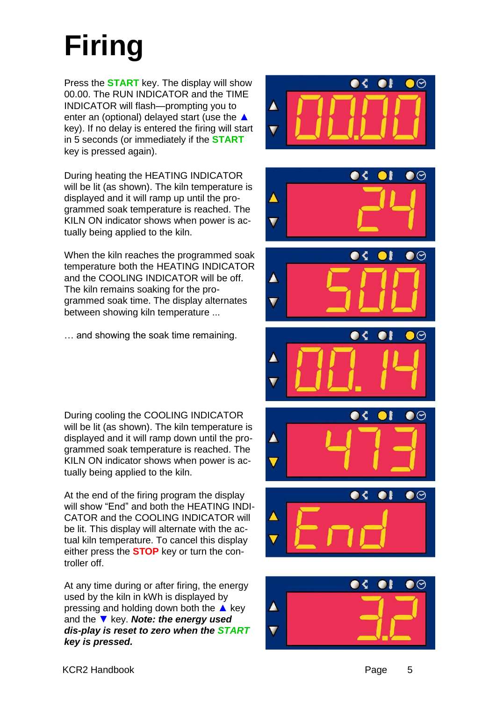## **Firing**

Press the **START** key. The display will show 00.00. The RUN INDICATOR and the TIME INDICATOR will flash—prompting you to enter an (optional) delayed start (use the ▲ key). If no delay is entered the firing will start in 5 seconds (or immediately if the **START**  key is pressed again).

During heating the HEATING INDICATOR will be lit (as shown). The kiln temperature is displayed and it will ramp up until the programmed soak temperature is reached. The KILN ON indicator shows when power is actually being applied to the kiln.

When the kiln reaches the programmed soak temperature both the HEATING INDICATOR and the COOLING INDICATOR will be off. The kiln remains soaking for the programmed soak time. The display alternates between showing kiln temperature ...

… and showing the soak time remaining.

During cooling the COOLING INDICATOR will be lit (as shown). The kiln temperature is displayed and it will ramp down until the programmed soak temperature is reached. The KILN ON indicator shows when power is actually being applied to the kiln.

At the end of the firing program the display will show "End" and both the HEATING INDI-CATOR and the COOLING INDICATOR will be lit. This display will alternate with the actual kiln temperature. To cancel this display either press the **STOP** key or turn the controller off.

At any time during or after firing, the energy used by the kiln in kWh is displayed by pressing and holding down both the  $\triangle$  key and the ▼ key. *Note: the energy used dis-play is reset to zero when the START key is pressed.*













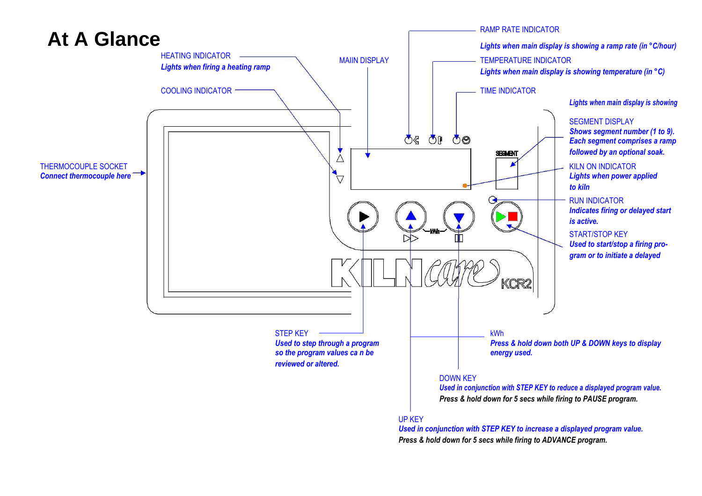

*Press & hold down for 5 secs while firing to ADVANCE program.*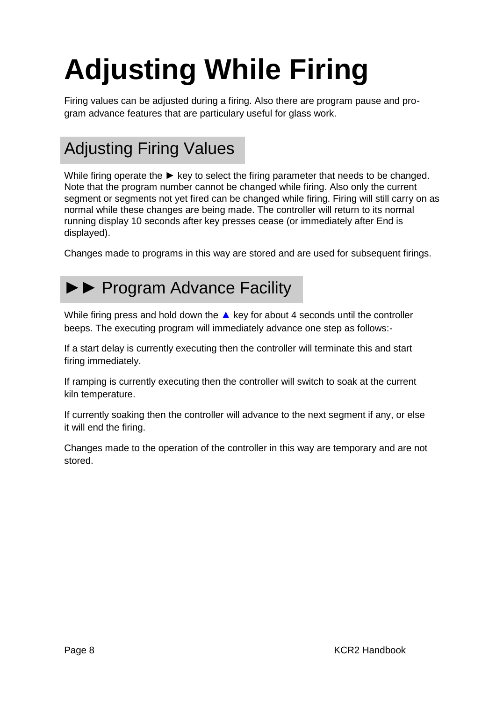# **Adjusting While Firing**

Firing values can be adjusted during a firing. Also there are program pause and program advance features that are particulary useful for glass work.

## Adjusting Firing Values

While firing operate the ► key to select the firing parameter that needs to be changed. Note that the program number cannot be changed while firing. Also only the current segment or segments not yet fired can be changed while firing. Firing will still carry on as normal while these changes are being made. The controller will return to its normal running display 10 seconds after key presses cease (or immediately after End is displayed).

Changes made to programs in this way are stored and are used for subsequent firings.

### ►► Program Advance Facility

While firing press and hold down the  $\triangle$  key for about 4 seconds until the controller beeps. The executing program will immediately advance one step as follows:-

If a start delay is currently executing then the controller will terminate this and start firing immediately.

If ramping is currently executing then the controller will switch to soak at the current kiln temperature.

If currently soaking then the controller will advance to the next segment if any, or else it will end the firing.

Changes made to the operation of the controller in this way are temporary and are not stored.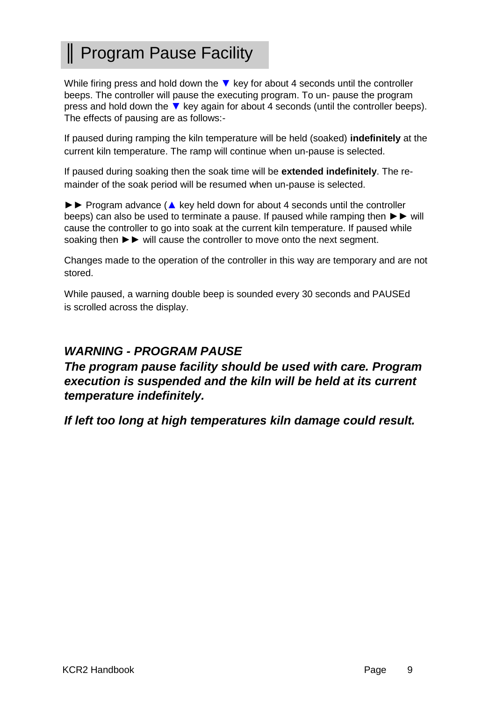## ║ Program Pause Facility

While firing press and hold down the  $\blacktriangledown$  key for about 4 seconds until the controller beeps. The controller will pause the executing program. To un- pause the program press and hold down the  $\blacktriangledown$  key again for about 4 seconds (until the controller beeps). The effects of pausing are as follows:-

If paused during ramping the kiln temperature will be held (soaked) **indefinitely** at the current kiln temperature. The ramp will continue when un-pause is selected.

If paused during soaking then the soak time will be **extended indefinitely**. The remainder of the soak period will be resumed when un-pause is selected.

►► Program advance (▲ key held down for about 4 seconds until the controller beeps) can also be used to terminate a pause. If paused while ramping then ►► will cause the controller to go into soak at the current kiln temperature. If paused while soaking then ►► will cause the controller to move onto the next segment.

Changes made to the operation of the controller in this way are temporary and are not stored.

While paused, a warning double beep is sounded every 30 seconds and PAUSEd is scrolled across the display.

#### *WARNING - PROGRAM PAUSE*

#### *The program pause facility should be used with care. Program execution is suspended and the kiln will be held at its current temperature indefinitely.*

*If left too long at high temperatures kiln damage could result.*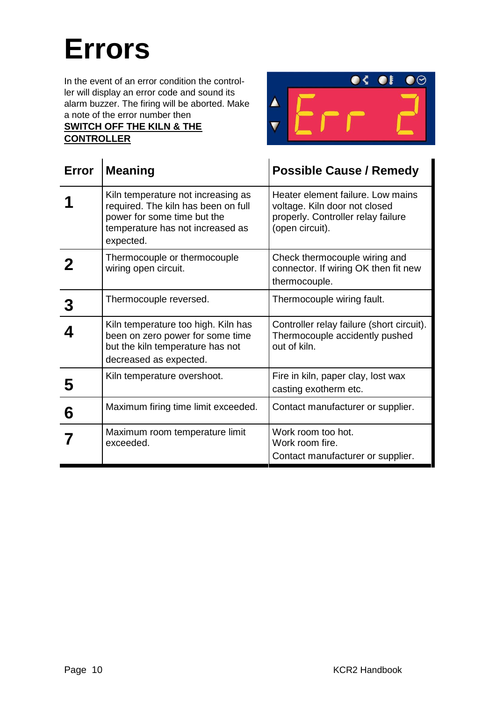## **Errors**

In the event of an error condition the controller will display an error code and sound its alarm buzzer. The firing will be aborted. Make a note of the error number then **SWITCH OFF THE KILN & THE** 

**CONTROLLER**



| <b>Error</b> | <b>Meaning</b>                                                                                                                                            | <b>Possible Cause / Remedy</b>                                                                                              |
|--------------|-----------------------------------------------------------------------------------------------------------------------------------------------------------|-----------------------------------------------------------------------------------------------------------------------------|
|              | Kiln temperature not increasing as<br>required. The kiln has been on full<br>power for some time but the<br>temperature has not increased as<br>expected. | Heater element failure. Low mains<br>voltage. Kiln door not closed<br>properly. Controller relay failure<br>(open circuit). |
|              | Thermocouple or thermocouple<br>wiring open circuit.                                                                                                      | Check thermocouple wiring and<br>connector. If wiring OK then fit new<br>thermocouple.                                      |
|              | Thermocouple reversed.                                                                                                                                    | Thermocouple wiring fault.                                                                                                  |
|              | Kiln temperature too high. Kiln has<br>been on zero power for some time<br>but the kiln temperature has not<br>decreased as expected.                     | Controller relay failure (short circuit).<br>Thermocouple accidently pushed<br>out of kiln.                                 |
| 5            | Kiln temperature overshoot.                                                                                                                               | Fire in kiln, paper clay, lost wax<br>casting exotherm etc.                                                                 |
| 6            | Maximum firing time limit exceeded.                                                                                                                       | Contact manufacturer or supplier.                                                                                           |
|              | Maximum room temperature limit<br>exceeded.                                                                                                               | Work room too hot.<br>Work room fire.<br>Contact manufacturer or supplier.                                                  |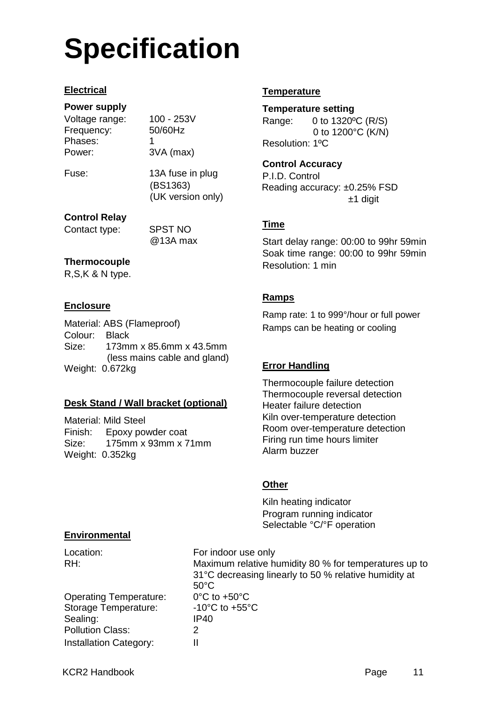## **Specification**

#### **Electrical**

#### **Power supply**

Voltage range: 100 - 253V Frequency: 50/60Hz Phases: 1 Power: 3VA (max)

Fuse: 13A fuse in plug (BS1363) (UK version only)

#### **Control Relay**

Contact type: SPST NO

@13A max

#### **Thermocouple**

R,S,K & N type.

#### **Enclosure**

Material: ABS (Flameproof) Colour: Black Size: 173mm x 85.6mm x 43.5mm (less mains cable and gland) Weight: 0.672kg

#### **Desk Stand / Wall bracket (optional)**

Material: Mild Steel Finish: Epoxy powder coat Size: 175mm x 93mm x 71mm Weight: 0.352kg

#### **Temperature**

#### **Temperature setting**

Range: 0 to 1320ºC (R/S) 0 to 1200°C (K/N) Resolution: 1ºC

#### **Control Accuracy**

P.I.D. Control Reading accuracy: ±0.25% FSD ±1 digit

#### **Time**

Start delay range: 00:00 to 99hr 59min Soak time range: 00:00 to 99hr 59min Resolution: 1 min

#### **Ramps**

Ramp rate: 1 to 999°/hour or full power Ramps can be heating or cooling

#### **Error Handling**

Thermocouple failure detection Thermocouple reversal detection Heater failure detection Kiln over-temperature detection Room over-temperature detection Firing run time hours limiter Alarm buzzer

#### **Other**

Kiln heating indicator Program running indicator Selectable °C/°F operation

#### **Environmental**

| Location:<br>RH:              | For indoor use only<br>Maximum relative humidity 80 % for temperatures up to<br>31°C decreasing linearly to 50 % relative humidity at<br>$50^{\circ}$ C |
|-------------------------------|---------------------------------------------------------------------------------------------------------------------------------------------------------|
| <b>Operating Temperature:</b> | $0^{\circ}$ C to +50 $^{\circ}$ C                                                                                                                       |
| Storage Temperature:          | -10 $^{\circ}$ C to +55 $^{\circ}$ C                                                                                                                    |
| Sealing:                      | IP40                                                                                                                                                    |
| <b>Pollution Class:</b>       | 2                                                                                                                                                       |
| <b>Installation Category:</b> |                                                                                                                                                         |